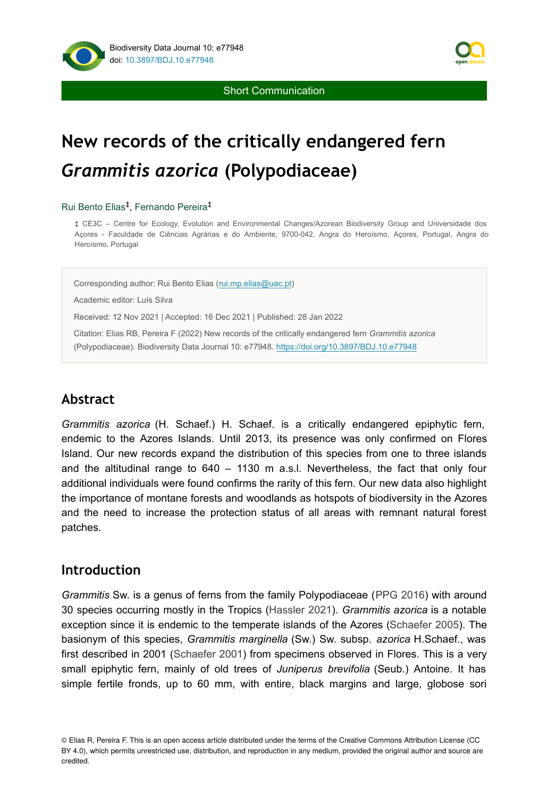

**Short Communication** 

# **New records of the critically endangered fern**  *Grammitis azorica* **(Polypodiaceae)**

#### Rui Bento Elias<sup>‡</sup>, Fernando Pereira<sup>‡</sup>

‡ CE3C – Centre for Ecology, Evolution and Environmental Changes/Azorean Biodiversity Group and Universidade dos Açores - Faculdade de Ciências Agrárias e do Ambiente, 9700-042, Angra do Heroísmo, Açores, Portugal, Angra do Heroísmo, Portugal

Corresponding author: Rui Bento Elias ([rui.mp.elias@uac.pt\)](mailto:rui.mp.elias@uac.pt)

Academic editor: Luís Silva

Received: 12 Nov 2021 | Accepted: 16 Dec 2021 | Published: 28 Jan 2022

Citation: Elias RB, Pereira F (2022) New records of the critically endangered fern *Grammitis azorica* (Polypodiaceae). Biodiversity Data Journal 10: e77948. <https://doi.org/10.3897/BDJ.10.e77948>

### **Abstract**

*Grammitis azorica* (H. Schaef.) H. Schaef. is a critically endangered epiphytic fern, endemic to the Azores Islands. Until 2013, its presence was only confirmed on Flores Island. Our new records expand the distribution of this species from one to three islands and the altitudinal range to 640 – 1130 m a.s.l. Nevertheless, the fact that only four additional individuals were found confirms the rarity of this fern. Our new data also highlight the importance of montane forests and woodlands as hotspots of biodiversity in the Azores and the need to increase the protection status of all areas with remnant natural forest patches.

#### **Introduction**

*Grammitis* Sw. is a genus of ferns from the family Polypodiaceae ([PPG 2016](#page-4-0)) with around 30 species occurring mostly in the Tropics [\(Hassler 2021](#page-4-1)). *Grammitis azorica* is a notable exception since it is endemic to the temperate islands of the Azores [\(Schaefer 2005](#page-4-2)). The basionym of this species, *Grammitis marginella* (Sw.) Sw. subsp. *azorica* H.Schaef., was first described in 2001 [\(Schaefer 2001](#page-4-3)) from specimens observed in Flores. This is a very small epiphytic fern, mainly of old trees of *Juniperus brevifolia* (Seub.) Antoine. It has simple fertile fronds, up to 60 mm, with entire, black margins and large, globose sori

<sup>©</sup> Elias R, Pereira F. This is an open access article distributed under the terms of the Creative Commons Attribution License (CC BY 4.0), which permits unrestricted use, distribution, and reproduction in any medium, provided the original author and source are credited.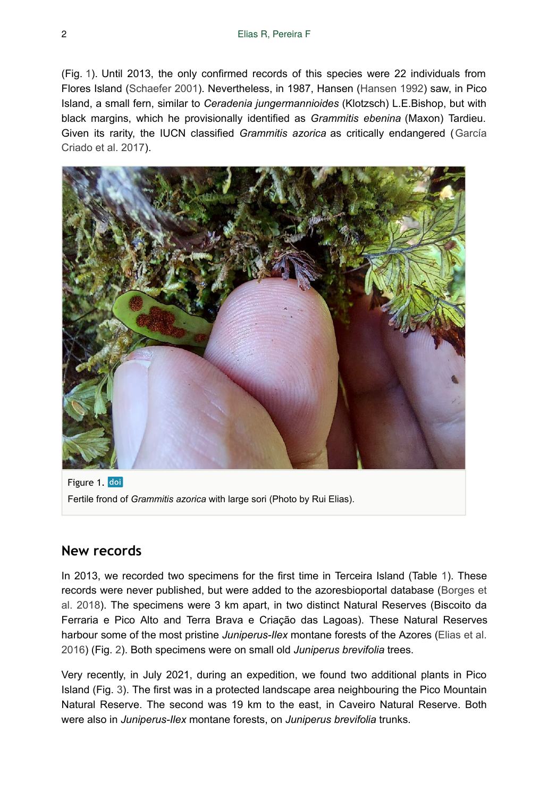(Fig. [1\)](#page-1-0). Until 2013, the only confirmed records of this species were 22 individuals from Flores Island [\(Schaefer 2001](#page-4-3)). Nevertheless, in 1987, Hansen [\(Hansen 1992](#page-4-4)) saw, in Pico Island, a small fern, similar to *Ceradenia jungermannioides* (Klotzsch) L.E.Bishop, but with black margins, which he provisionally identified as *Grammitis ebenina* (Maxon) Tardieu. Given its rarity, the IUCN classified *Grammitis azorica* as critically endangered ([García](#page-4-5) [Criado et al. 2017](#page-4-5)).

<span id="page-1-0"></span>

Figure 1. doi Fertile frond of *Grammitis azorica* with large sori (Photo by Rui Elias).

#### **New records**

In 2013, we recorded two specimens for the first time in Terceira Island (Table [1](#page-2-0)). These records were never published, but were added to the azoresbioportal database [\(Borges et](#page-4-6) [al. 2018](#page-4-6)). The specimens were 3 km apart, in two distinct Natural Reserves (Biscoito da Ferraria e Pico Alto and Terra Brava e Criação das Lagoas). These Natural Reserves harbour some of the most pristine *Juniperus-Ilex* montane forests of the Azores ([Elias et al.](#page-4-7) [2016](#page-4-7)) (Fig. [2](#page-2-1)). Both specimens were on small old *Juniperus brevifolia* trees.

Very recently, in July 2021, during an expedition, we found two additional plants in Pico Island (Fig. [3\)](#page-3-0). The first was in a protected landscape area neighbouring the Pico Mountain Natural Reserve. The second was 19 km to the east, in Caveiro Natural Reserve. Both were also in *Juniperus-Ilex* montane forests, on *Juniperus brevifolia* trunks.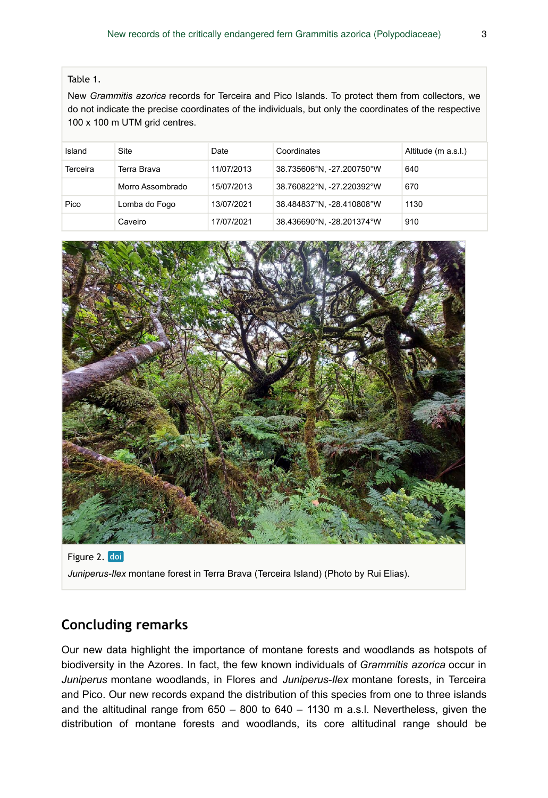#### <span id="page-2-0"></span>Table 1.

New *Grammitis azorica* records for Terceira and Pico Islands. To protect them from collectors, we do not indicate the precise coordinates of the individuals, but only the coordinates of the respective 100 x 100 m UTM grid centres.

| Island   | Site             | Date       | Coordinates               | Altitude (m a.s.l.) |
|----------|------------------|------------|---------------------------|---------------------|
| Terceira | Terra Brava      | 11/07/2013 | 38.735606°N, -27.200750°W | 640                 |
|          | Morro Assombrado | 15/07/2013 | 38.760822°N, -27.220392°W | 670                 |
| Pico     | Lomba do Fogo    | 13/07/2021 | 38.484837°N, -28.410808°W | 1130                |
|          | Caveiro          | 17/07/2021 | 38.436690°N, -28.201374°W | 910                 |

<span id="page-2-1"></span>

Figure 2. doi *Juniperus-Ilex* montane forest in Terra Brava (Terceira Island) (Photo by Rui Elias).

### **Concluding remarks**

Our new data highlight the importance of montane forests and woodlands as hotspots of biodiversity in the Azores. In fact, the few known individuals of *Grammitis azorica* occur in *Juniperus* montane woodlands, in Flores and *Juniperus-Ilex* montane forests, in Terceira and Pico. Our new records expand the distribution of this species from one to three islands and the altitudinal range from  $650 - 800$  to  $640 - 1130$  m a.s.l. Nevertheless, given the distribution of montane forests and woodlands, its core altitudinal range should be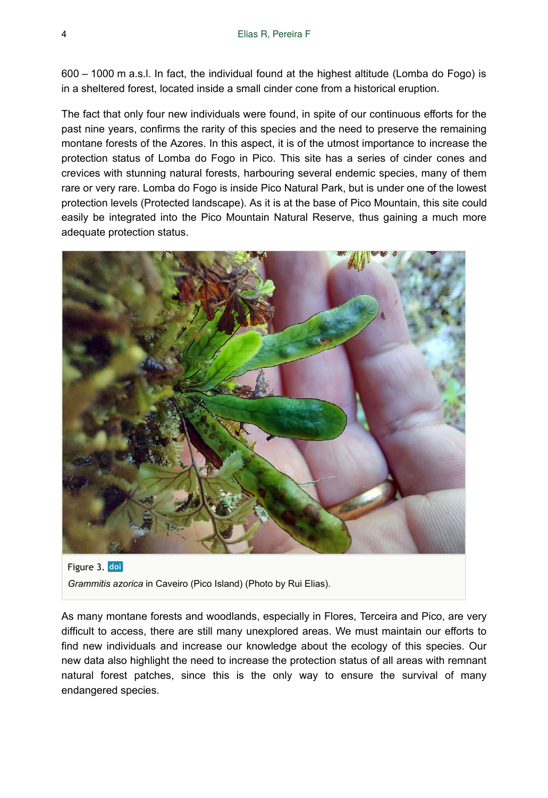600 – 1000 m a.s.l. In fact, the individual found at the highest altitude (Lomba do Fogo) is in a sheltered forest, located inside a small cinder cone from a historical eruption.

The fact that only four new individuals were found, in spite of our continuous efforts for the past nine years, confirms the rarity of this species and the need to preserve the remaining montane forests of the Azores. In this aspect, it is of the utmost importance to increase the protection status of Lomba do Fogo in Pico. This site has a series of cinder cones and crevices with stunning natural forests, harbouring several endemic species, many of them rare or very rare. Lomba do Fogo is inside Pico Natural Park, but is under one of the lowest protection levels (Protected landscape). As it is at the base of Pico Mountain, this site could easily be integrated into the Pico Mountain Natural Reserve, thus gaining a much more adequate protection status.

<span id="page-3-0"></span>

Figure 3. doi *Grammitis azorica* in Caveiro (Pico Island) (Photo by Rui Elias).

As many montane forests and woodlands, especially in Flores, Terceira and Pico, are very difficult to access, there are still many unexplored areas. We must maintain our efforts to find new individuals and increase our knowledge about the ecology of this species. Our new data also highlight the need to increase the protection status of all areas with remnant natural forest patches, since this is the only way to ensure the survival of many endangered species.